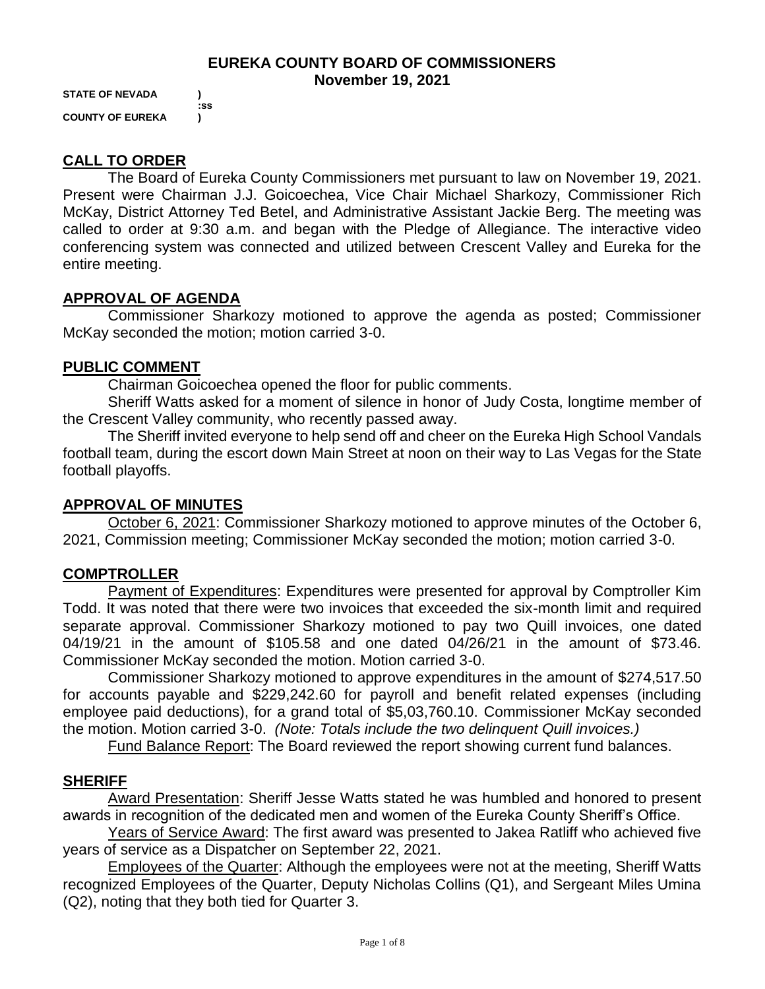#### **EUREKA COUNTY BOARD OF COMMISSIONERS November 19, 2021**

**STATE OF NEVADA ) :ss COUNTY OF EUREKA )**

# **CALL TO ORDER**

The Board of Eureka County Commissioners met pursuant to law on November 19, 2021. Present were Chairman J.J. Goicoechea, Vice Chair Michael Sharkozy, Commissioner Rich McKay, District Attorney Ted Betel, and Administrative Assistant Jackie Berg. The meeting was called to order at 9:30 a.m. and began with the Pledge of Allegiance. The interactive video conferencing system was connected and utilized between Crescent Valley and Eureka for the entire meeting.

# **APPROVAL OF AGENDA**

Commissioner Sharkozy motioned to approve the agenda as posted; Commissioner McKay seconded the motion; motion carried 3-0.

#### **PUBLIC COMMENT**

Chairman Goicoechea opened the floor for public comments.

Sheriff Watts asked for a moment of silence in honor of Judy Costa, longtime member of the Crescent Valley community, who recently passed away.

The Sheriff invited everyone to help send off and cheer on the Eureka High School Vandals football team, during the escort down Main Street at noon on their way to Las Vegas for the State football playoffs.

# **APPROVAL OF MINUTES**

October 6, 2021: Commissioner Sharkozy motioned to approve minutes of the October 6, 2021, Commission meeting; Commissioner McKay seconded the motion; motion carried 3-0.

# **COMPTROLLER**

Payment of Expenditures: Expenditures were presented for approval by Comptroller Kim Todd. It was noted that there were two invoices that exceeded the six-month limit and required separate approval. Commissioner Sharkozy motioned to pay two Quill invoices, one dated 04/19/21 in the amount of \$105.58 and one dated 04/26/21 in the amount of \$73.46. Commissioner McKay seconded the motion. Motion carried 3-0.

Commissioner Sharkozy motioned to approve expenditures in the amount of \$274,517.50 for accounts payable and \$229,242.60 for payroll and benefit related expenses (including employee paid deductions), for a grand total of \$5,03,760.10. Commissioner McKay seconded the motion. Motion carried 3-0. *(Note: Totals include the two delinquent Quill invoices.)* 

Fund Balance Report: The Board reviewed the report showing current fund balances.

# **SHERIFF**

Award Presentation: Sheriff Jesse Watts stated he was humbled and honored to present awards in recognition of the dedicated men and women of the Eureka County Sheriff's Office.

Years of Service Award: The first award was presented to Jakea Ratliff who achieved five years of service as a Dispatcher on September 22, 2021.

Employees of the Quarter: Although the employees were not at the meeting, Sheriff Watts recognized Employees of the Quarter, Deputy Nicholas Collins (Q1), and Sergeant Miles Umina (Q2), noting that they both tied for Quarter 3.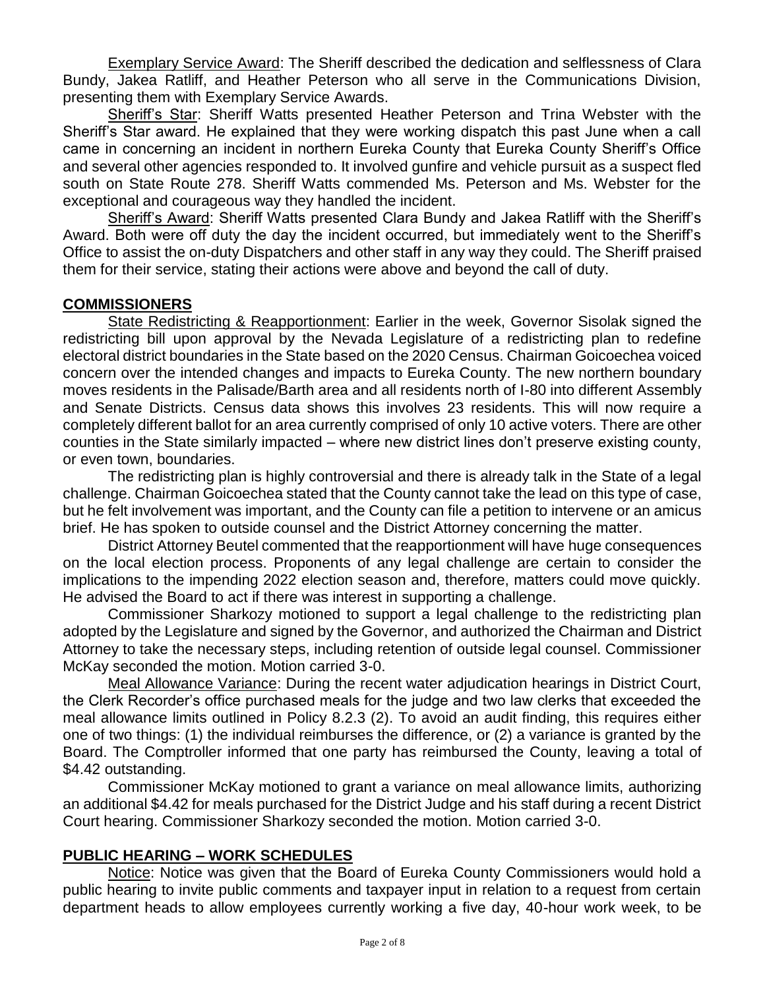Exemplary Service Award: The Sheriff described the dedication and selflessness of Clara Bundy, Jakea Ratliff, and Heather Peterson who all serve in the Communications Division, presenting them with Exemplary Service Awards.

Sheriff's Star: Sheriff Watts presented Heather Peterson and Trina Webster with the Sheriff's Star award. He explained that they were working dispatch this past June when a call came in concerning an incident in northern Eureka County that Eureka County Sheriff's Office and several other agencies responded to. It involved gunfire and vehicle pursuit as a suspect fled south on State Route 278. Sheriff Watts commended Ms. Peterson and Ms. Webster for the exceptional and courageous way they handled the incident.

Sheriff's Award: Sheriff Watts presented Clara Bundy and Jakea Ratliff with the Sheriff's Award. Both were off duty the day the incident occurred, but immediately went to the Sheriff's Office to assist the on-duty Dispatchers and other staff in any way they could. The Sheriff praised them for their service, stating their actions were above and beyond the call of duty.

#### **COMMISSIONERS**

State Redistricting & Reapportionment: Earlier in the week, Governor Sisolak signed the redistricting bill upon approval by the Nevada Legislature of a redistricting plan to redefine electoral district boundaries in the State based on the 2020 Census. Chairman Goicoechea voiced concern over the intended changes and impacts to Eureka County. The new northern boundary moves residents in the Palisade/Barth area and all residents north of I-80 into different Assembly and Senate Districts. Census data shows this involves 23 residents. This will now require a completely different ballot for an area currently comprised of only 10 active voters. There are other counties in the State similarly impacted – where new district lines don't preserve existing county, or even town, boundaries.

The redistricting plan is highly controversial and there is already talk in the State of a legal challenge. Chairman Goicoechea stated that the County cannot take the lead on this type of case, but he felt involvement was important, and the County can file a petition to intervene or an amicus brief. He has spoken to outside counsel and the District Attorney concerning the matter.

District Attorney Beutel commented that the reapportionment will have huge consequences on the local election process. Proponents of any legal challenge are certain to consider the implications to the impending 2022 election season and, therefore, matters could move quickly. He advised the Board to act if there was interest in supporting a challenge.

Commissioner Sharkozy motioned to support a legal challenge to the redistricting plan adopted by the Legislature and signed by the Governor, and authorized the Chairman and District Attorney to take the necessary steps, including retention of outside legal counsel. Commissioner McKay seconded the motion. Motion carried 3-0.

Meal Allowance Variance: During the recent water adjudication hearings in District Court, the Clerk Recorder's office purchased meals for the judge and two law clerks that exceeded the meal allowance limits outlined in Policy 8.2.3 (2). To avoid an audit finding, this requires either one of two things: (1) the individual reimburses the difference, or (2) a variance is granted by the Board. The Comptroller informed that one party has reimbursed the County, leaving a total of \$4.42 outstanding.

Commissioner McKay motioned to grant a variance on meal allowance limits, authorizing an additional \$4.42 for meals purchased for the District Judge and his staff during a recent District Court hearing. Commissioner Sharkozy seconded the motion. Motion carried 3-0.

#### **PUBLIC HEARING – WORK SCHEDULES**

Notice: Notice was given that the Board of Eureka County Commissioners would hold a public hearing to invite public comments and taxpayer input in relation to a request from certain department heads to allow employees currently working a five day, 40-hour work week, to be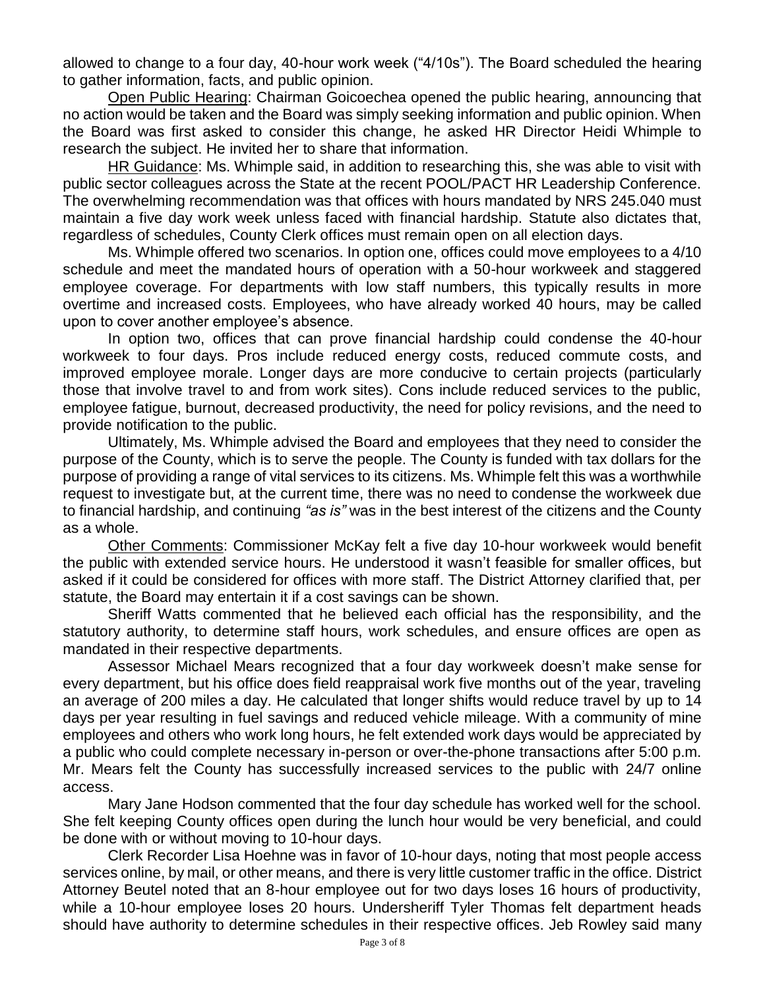allowed to change to a four day, 40-hour work week ("4/10s"). The Board scheduled the hearing to gather information, facts, and public opinion.

Open Public Hearing: Chairman Goicoechea opened the public hearing, announcing that no action would be taken and the Board was simply seeking information and public opinion. When the Board was first asked to consider this change, he asked HR Director Heidi Whimple to research the subject. He invited her to share that information.

HR Guidance: Ms. Whimple said, in addition to researching this, she was able to visit with public sector colleagues across the State at the recent POOL/PACT HR Leadership Conference. The overwhelming recommendation was that offices with hours mandated by NRS 245.040 must maintain a five day work week unless faced with financial hardship. Statute also dictates that, regardless of schedules, County Clerk offices must remain open on all election days.

Ms. Whimple offered two scenarios. In option one, offices could move employees to a 4/10 schedule and meet the mandated hours of operation with a 50-hour workweek and staggered employee coverage. For departments with low staff numbers, this typically results in more overtime and increased costs. Employees, who have already worked 40 hours, may be called upon to cover another employee's absence.

In option two, offices that can prove financial hardship could condense the 40-hour workweek to four days. Pros include reduced energy costs, reduced commute costs, and improved employee morale. Longer days are more conducive to certain projects (particularly those that involve travel to and from work sites). Cons include reduced services to the public, employee fatigue, burnout, decreased productivity, the need for policy revisions, and the need to provide notification to the public.

Ultimately, Ms. Whimple advised the Board and employees that they need to consider the purpose of the County, which is to serve the people. The County is funded with tax dollars for the purpose of providing a range of vital services to its citizens. Ms. Whimple felt this was a worthwhile request to investigate but, at the current time, there was no need to condense the workweek due to financial hardship, and continuing *"as is"* was in the best interest of the citizens and the County as a whole.

Other Comments: Commissioner McKay felt a five day 10-hour workweek would benefit the public with extended service hours. He understood it wasn't feasible for smaller offices, but asked if it could be considered for offices with more staff. The District Attorney clarified that, per statute, the Board may entertain it if a cost savings can be shown.

Sheriff Watts commented that he believed each official has the responsibility, and the statutory authority, to determine staff hours, work schedules, and ensure offices are open as mandated in their respective departments.

Assessor Michael Mears recognized that a four day workweek doesn't make sense for every department, but his office does field reappraisal work five months out of the year, traveling an average of 200 miles a day. He calculated that longer shifts would reduce travel by up to 14 days per year resulting in fuel savings and reduced vehicle mileage. With a community of mine employees and others who work long hours, he felt extended work days would be appreciated by a public who could complete necessary in-person or over-the-phone transactions after 5:00 p.m. Mr. Mears felt the County has successfully increased services to the public with 24/7 online access.

Mary Jane Hodson commented that the four day schedule has worked well for the school. She felt keeping County offices open during the lunch hour would be very beneficial, and could be done with or without moving to 10-hour days.

Clerk Recorder Lisa Hoehne was in favor of 10-hour days, noting that most people access services online, by mail, or other means, and there is very little customer traffic in the office. District Attorney Beutel noted that an 8-hour employee out for two days loses 16 hours of productivity, while a 10-hour employee loses 20 hours. Undersheriff Tyler Thomas felt department heads should have authority to determine schedules in their respective offices. Jeb Rowley said many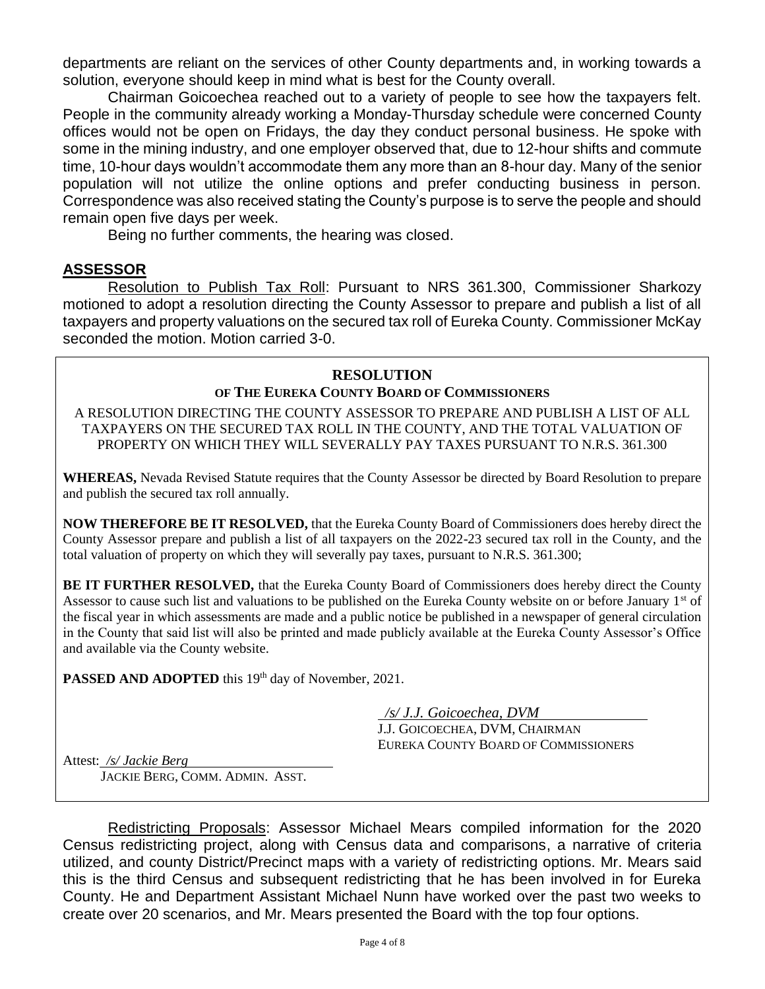departments are reliant on the services of other County departments and, in working towards a solution, everyone should keep in mind what is best for the County overall.

Chairman Goicoechea reached out to a variety of people to see how the taxpayers felt. People in the community already working a Monday-Thursday schedule were concerned County offices would not be open on Fridays, the day they conduct personal business. He spoke with some in the mining industry, and one employer observed that, due to 12-hour shifts and commute time, 10-hour days wouldn't accommodate them any more than an 8-hour day. Many of the senior population will not utilize the online options and prefer conducting business in person. Correspondence was also received stating the County's purpose is to serve the people and should remain open five days per week.

Being no further comments, the hearing was closed.

# **ASSESSOR**

Resolution to Publish Tax Roll: Pursuant to NRS 361.300, Commissioner Sharkozy motioned to adopt a resolution directing the County Assessor to prepare and publish a list of all taxpayers and property valuations on the secured tax roll of Eureka County. Commissioner McKay seconded the motion. Motion carried 3-0.

# **RESOLUTION**

# **OF THE EUREKA COUNTY BOARD OF COMMISSIONERS**

A RESOLUTION DIRECTING THE COUNTY ASSESSOR TO PREPARE AND PUBLISH A LIST OF ALL TAXPAYERS ON THE SECURED TAX ROLL IN THE COUNTY, AND THE TOTAL VALUATION OF PROPERTY ON WHICH THEY WILL SEVERALLY PAY TAXES PURSUANT TO N.R.S. 361.300

**WHEREAS,** Nevada Revised Statute requires that the County Assessor be directed by Board Resolution to prepare and publish the secured tax roll annually.

**NOW THEREFORE BE IT RESOLVED,** that the Eureka County Board of Commissioners does hereby direct the County Assessor prepare and publish a list of all taxpayers on the 2022-23 secured tax roll in the County, and the total valuation of property on which they will severally pay taxes, pursuant to N.R.S. 361.300;

**BE IT FURTHER RESOLVED,** that the Eureka County Board of Commissioners does hereby direct the County Assessor to cause such list and valuations to be published on the Eureka County website on or before January 1<sup>st</sup> of the fiscal year in which assessments are made and a public notice be published in a newspaper of general circulation in the County that said list will also be printed and made publicly available at the Eureka County Assessor's Office and available via the County website.

**PASSED AND ADOPTED** this 19th day of November, 2021.

 */s/ J.J. Goicoechea, DVM*

J.J. GOICOECHEA, DVM, CHAIRMAN EUREKA COUNTY BOARD OF COMMISSIONERS

Attest: */s/ Jackie Berg*

JACKIE BERG, COMM. ADMIN. ASST.

Redistricting Proposals: Assessor Michael Mears compiled information for the 2020 Census redistricting project, along with Census data and comparisons, a narrative of criteria utilized, and county District/Precinct maps with a variety of redistricting options. Mr. Mears said this is the third Census and subsequent redistricting that he has been involved in for Eureka County. He and Department Assistant Michael Nunn have worked over the past two weeks to create over 20 scenarios, and Mr. Mears presented the Board with the top four options.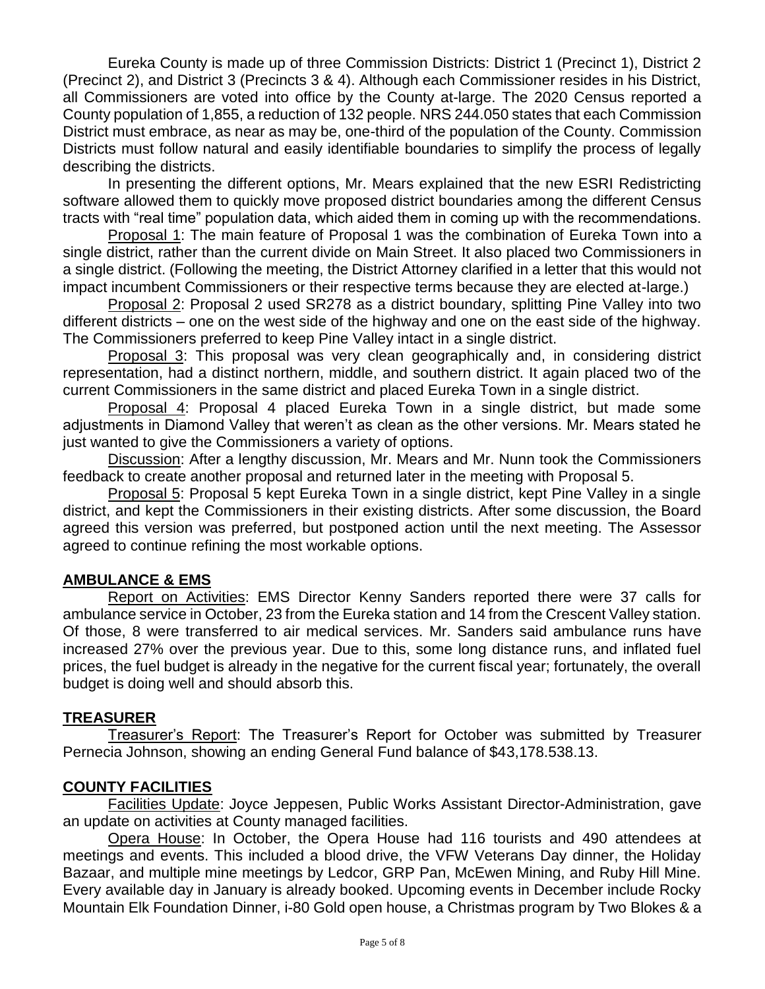Eureka County is made up of three Commission Districts: District 1 (Precinct 1), District 2 (Precinct 2), and District 3 (Precincts 3 & 4). Although each Commissioner resides in his District, all Commissioners are voted into office by the County at-large. The 2020 Census reported a County population of 1,855, a reduction of 132 people. NRS 244.050 states that each Commission District must embrace, as near as may be, one-third of the population of the County. Commission Districts must follow natural and easily identifiable boundaries to simplify the process of legally describing the districts.

In presenting the different options, Mr. Mears explained that the new ESRI Redistricting software allowed them to quickly move proposed district boundaries among the different Census tracts with "real time" population data, which aided them in coming up with the recommendations.

Proposal 1: The main feature of Proposal 1 was the combination of Eureka Town into a single district, rather than the current divide on Main Street. It also placed two Commissioners in a single district. (Following the meeting, the District Attorney clarified in a letter that this would not impact incumbent Commissioners or their respective terms because they are elected at-large.)

Proposal 2: Proposal 2 used SR278 as a district boundary, splitting Pine Valley into two different districts – one on the west side of the highway and one on the east side of the highway. The Commissioners preferred to keep Pine Valley intact in a single district.

**Proposal 3:** This proposal was very clean geographically and, in considering district representation, had a distinct northern, middle, and southern district. It again placed two of the current Commissioners in the same district and placed Eureka Town in a single district.

Proposal 4: Proposal 4 placed Eureka Town in a single district, but made some adjustments in Diamond Valley that weren't as clean as the other versions. Mr. Mears stated he just wanted to give the Commissioners a variety of options.

Discussion: After a lengthy discussion, Mr. Mears and Mr. Nunn took the Commissioners feedback to create another proposal and returned later in the meeting with Proposal 5.

Proposal 5: Proposal 5 kept Eureka Town in a single district, kept Pine Valley in a single district, and kept the Commissioners in their existing districts. After some discussion, the Board agreed this version was preferred, but postponed action until the next meeting. The Assessor agreed to continue refining the most workable options.

# **AMBULANCE & EMS**

Report on Activities: EMS Director Kenny Sanders reported there were 37 calls for ambulance service in October, 23 from the Eureka station and 14 from the Crescent Valley station. Of those, 8 were transferred to air medical services. Mr. Sanders said ambulance runs have increased 27% over the previous year. Due to this, some long distance runs, and inflated fuel prices, the fuel budget is already in the negative for the current fiscal year; fortunately, the overall budget is doing well and should absorb this.

# **TREASURER**

Treasurer's Report: The Treasurer's Report for October was submitted by Treasurer Pernecia Johnson, showing an ending General Fund balance of \$43,178.538.13.

# **COUNTY FACILITIES**

Facilities Update: Joyce Jeppesen, Public Works Assistant Director-Administration, gave an update on activities at County managed facilities.

Opera House: In October, the Opera House had 116 tourists and 490 attendees at meetings and events. This included a blood drive, the VFW Veterans Day dinner, the Holiday Bazaar, and multiple mine meetings by Ledcor, GRP Pan, McEwen Mining, and Ruby Hill Mine. Every available day in January is already booked. Upcoming events in December include Rocky Mountain Elk Foundation Dinner, i-80 Gold open house, a Christmas program by Two Blokes & a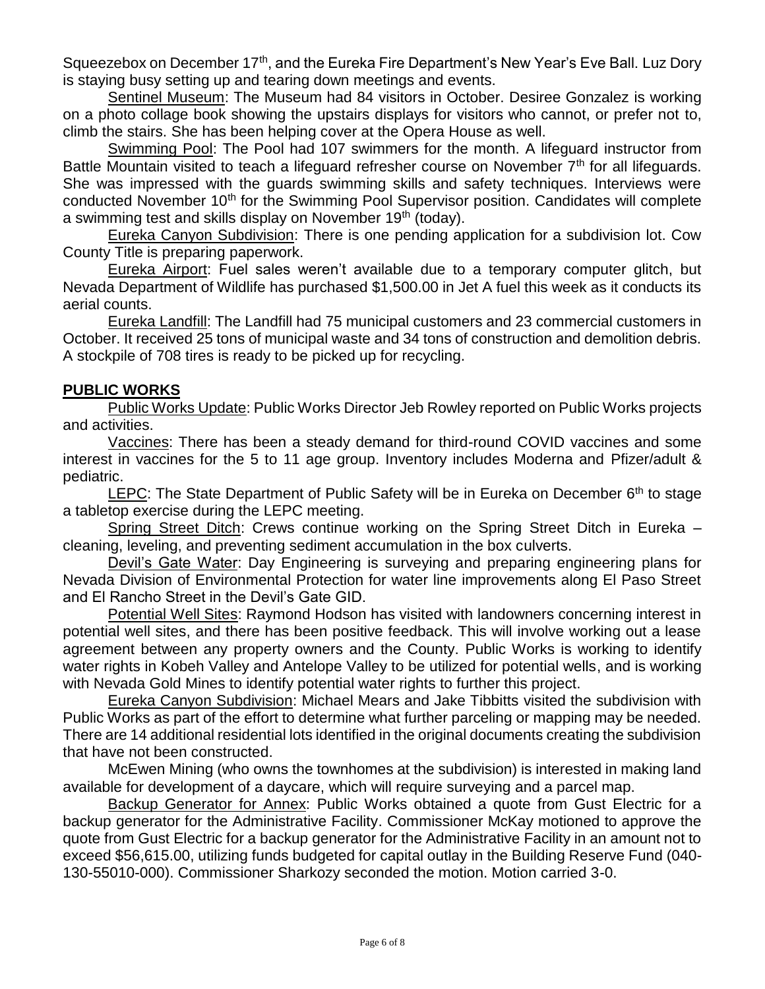Squeezebox on December 17<sup>th</sup>, and the Eureka Fire Department's New Year's Eve Ball. Luz Dory is staying busy setting up and tearing down meetings and events.

Sentinel Museum: The Museum had 84 visitors in October. Desiree Gonzalez is working on a photo collage book showing the upstairs displays for visitors who cannot, or prefer not to, climb the stairs. She has been helping cover at the Opera House as well.

Swimming Pool: The Pool had 107 swimmers for the month. A lifeguard instructor from Battle Mountain visited to teach a lifeguard refresher course on November 7<sup>th</sup> for all lifeguards. She was impressed with the guards swimming skills and safety techniques. Interviews were conducted November 10<sup>th</sup> for the Swimming Pool Supervisor position. Candidates will complete a swimming test and skills display on November  $19<sup>th</sup>$  (today).

Eureka Canyon Subdivision: There is one pending application for a subdivision lot. Cow County Title is preparing paperwork.

Eureka Airport: Fuel sales weren't available due to a temporary computer glitch, but Nevada Department of Wildlife has purchased \$1,500.00 in Jet A fuel this week as it conducts its aerial counts.

Eureka Landfill: The Landfill had 75 municipal customers and 23 commercial customers in October. It received 25 tons of municipal waste and 34 tons of construction and demolition debris. A stockpile of 708 tires is ready to be picked up for recycling.

# **PUBLIC WORKS**

Public Works Update: Public Works Director Jeb Rowley reported on Public Works projects and activities.

Vaccines: There has been a steady demand for third-round COVID vaccines and some interest in vaccines for the 5 to 11 age group. Inventory includes Moderna and Pfizer/adult & pediatric.

LEPC: The State Department of Public Safety will be in Eureka on December  $6<sup>th</sup>$  to stage a tabletop exercise during the LEPC meeting.

Spring Street Ditch: Crews continue working on the Spring Street Ditch in Eureka cleaning, leveling, and preventing sediment accumulation in the box culverts.

Devil's Gate Water: Day Engineering is surveying and preparing engineering plans for Nevada Division of Environmental Protection for water line improvements along El Paso Street and El Rancho Street in the Devil's Gate GID.

Potential Well Sites: Raymond Hodson has visited with landowners concerning interest in potential well sites, and there has been positive feedback. This will involve working out a lease agreement between any property owners and the County. Public Works is working to identify water rights in Kobeh Valley and Antelope Valley to be utilized for potential wells, and is working with Nevada Gold Mines to identify potential water rights to further this project.

Eureka Canyon Subdivision: Michael Mears and Jake Tibbitts visited the subdivision with Public Works as part of the effort to determine what further parceling or mapping may be needed. There are 14 additional residential lots identified in the original documents creating the subdivision that have not been constructed.

McEwen Mining (who owns the townhomes at the subdivision) is interested in making land available for development of a daycare, which will require surveying and a parcel map.

Backup Generator for Annex: Public Works obtained a quote from Gust Electric for a backup generator for the Administrative Facility. Commissioner McKay motioned to approve the quote from Gust Electric for a backup generator for the Administrative Facility in an amount not to exceed \$56,615.00, utilizing funds budgeted for capital outlay in the Building Reserve Fund (040- 130-55010-000). Commissioner Sharkozy seconded the motion. Motion carried 3-0.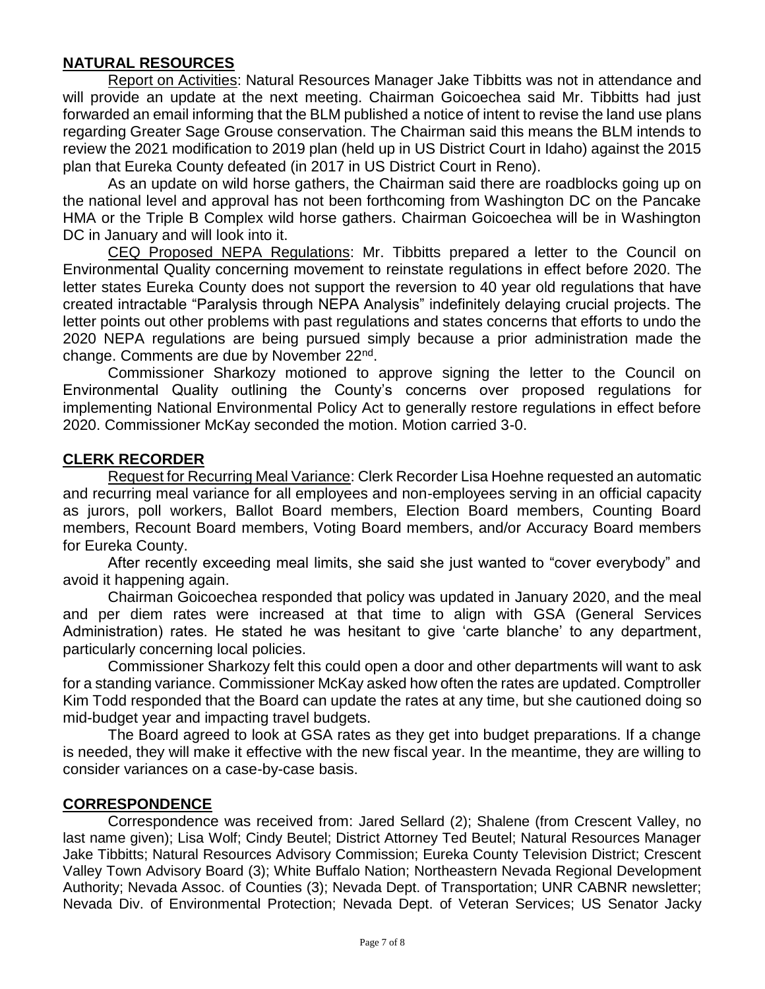# **NATURAL RESOURCES**

Report on Activities: Natural Resources Manager Jake Tibbitts was not in attendance and will provide an update at the next meeting. Chairman Goicoechea said Mr. Tibbitts had just forwarded an email informing that the BLM published a notice of intent to revise the land use plans regarding Greater Sage Grouse conservation. The Chairman said this means the BLM intends to review the 2021 modification to 2019 plan (held up in US District Court in Idaho) against the 2015 plan that Eureka County defeated (in 2017 in US District Court in Reno).

As an update on wild horse gathers, the Chairman said there are roadblocks going up on the national level and approval has not been forthcoming from Washington DC on the Pancake HMA or the Triple B Complex wild horse gathers. Chairman Goicoechea will be in Washington DC in January and will look into it.

CEQ Proposed NEPA Regulations: Mr. Tibbitts prepared a letter to the Council on Environmental Quality concerning movement to reinstate regulations in effect before 2020. The letter states Eureka County does not support the reversion to 40 year old regulations that have created intractable "Paralysis through NEPA Analysis" indefinitely delaying crucial projects. The letter points out other problems with past regulations and states concerns that efforts to undo the 2020 NEPA regulations are being pursued simply because a prior administration made the change. Comments are due by November 22<sup>nd</sup>.

Commissioner Sharkozy motioned to approve signing the letter to the Council on Environmental Quality outlining the County's concerns over proposed regulations for implementing National Environmental Policy Act to generally restore regulations in effect before 2020. Commissioner McKay seconded the motion. Motion carried 3-0.

#### **CLERK RECORDER**

Request for Recurring Meal Variance: Clerk Recorder Lisa Hoehne requested an automatic and recurring meal variance for all employees and non-employees serving in an official capacity as jurors, poll workers, Ballot Board members, Election Board members, Counting Board members, Recount Board members, Voting Board members, and/or Accuracy Board members for Eureka County.

After recently exceeding meal limits, she said she just wanted to "cover everybody" and avoid it happening again.

Chairman Goicoechea responded that policy was updated in January 2020, and the meal and per diem rates were increased at that time to align with GSA (General Services Administration) rates. He stated he was hesitant to give 'carte blanche' to any department, particularly concerning local policies.

Commissioner Sharkozy felt this could open a door and other departments will want to ask for a standing variance. Commissioner McKay asked how often the rates are updated. Comptroller Kim Todd responded that the Board can update the rates at any time, but she cautioned doing so mid-budget year and impacting travel budgets.

The Board agreed to look at GSA rates as they get into budget preparations. If a change is needed, they will make it effective with the new fiscal year. In the meantime, they are willing to consider variances on a case-by-case basis.

#### **CORRESPONDENCE**

Correspondence was received from: Jared Sellard (2); Shalene (from Crescent Valley, no last name given); Lisa Wolf; Cindy Beutel; District Attorney Ted Beutel; Natural Resources Manager Jake Tibbitts; Natural Resources Advisory Commission; Eureka County Television District; Crescent Valley Town Advisory Board (3); White Buffalo Nation; Northeastern Nevada Regional Development Authority; Nevada Assoc. of Counties (3); Nevada Dept. of Transportation; UNR CABNR newsletter; Nevada Div. of Environmental Protection; Nevada Dept. of Veteran Services; US Senator Jacky